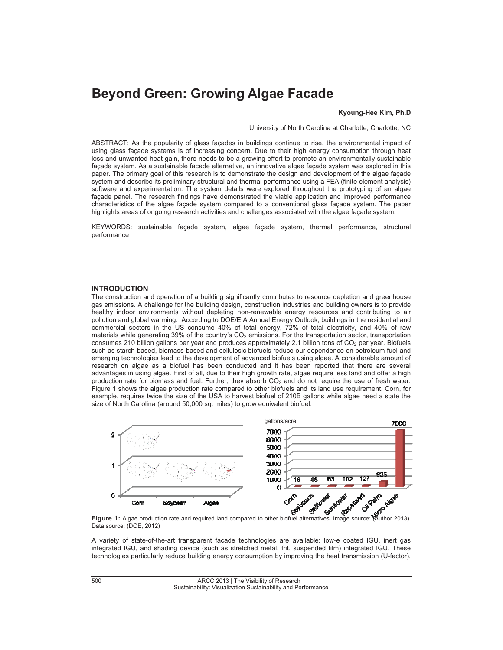# **Beyond Green: Growing Algae Facade**

#### **Kyoung-Hee Kim, Ph.D**

University of North Carolina at Charlotte, Charlotte, NC

ABSTRACT: As the popularity of glass façades in buildings continue to rise, the environmental impact of using glass façade systems is of increasing concern. Due to their high energy consumption through heat loss and unwanted heat gain, there needs to be a growing effort to promote an environmentally sustainable façade system. As a sustainable facade alternative, an innovative algae façade system was explored in this paper. The primary goal of this research is to demonstrate the design and development of the algae façade system and describe its preliminary structural and thermal performance using a FEA (finite element analysis) software and experimentation. The system details were explored throughout the prototyping of an algae façade panel. The research findings have demonstrated the viable application and improved performance characteristics of the algae façade system compared to a conventional glass façade system. The paper highlights areas of ongoing research activities and challenges associated with the algae façade system.

KEYWORDS: sustainable façade system, algae façade system, thermal performance, structural performance

### **INTRODUCTION**

The construction and operation of a building significantly contributes to resource depletion and greenhouse gas emissions. A challenge for the building design, construction industries and building owners is to provide healthy indoor environments without depleting non-renewable energy resources and contributing to air pollution and global warming. According to DOE/EIA Annual Energy Outlook, buildings in the residential and commercial sectors in the US consume 40% of total energy, 72% of total electricity, and 40% of raw materials while generating  $39\%$  of the country's  $CO<sub>2</sub>$  emissions. For the transportation sector, transportation consumes 210 billion gallons per year and produces approximately 2.1 billion tons of CO<sub>2</sub> per year. Biofuels such as starch-based, biomass-based and cellulosic biofuels reduce our dependence on petroleum fuel and emerging technologies lead to the development of advanced biofuels using algae. A considerable amount of research on algae as a biofuel has been conducted and it has been reported that there are several advantages in using algae. First of all, due to their high growth rate, algae require less land and offer a high production rate for biomass and fuel. Further, they absorb  $CO<sub>2</sub>$  and do not require the use of fresh water. Figure 1 shows the algae production rate compared to other biofuels and its land use requirement. Corn, for example, requires twice the size of the USA to harvest biofuel of 210B gallons while algae need a state the size of North Carolina (around 50,000 sq. miles) to grow equivalent biofuel.



**Figure 1:** Algae production rate and required land compared to other biofuel alternatives. Image source: (Author 2013). Data source: (DOE, 2012)

A variety of state-of-the-art transparent facade technologies are available: low-e coated IGU, inert gas integrated IGU, and shading device (such as stretched metal, frit, suspended film) integrated IGU. These technologies particularly reduce building energy consumption by improving the heat transmission (U-factor),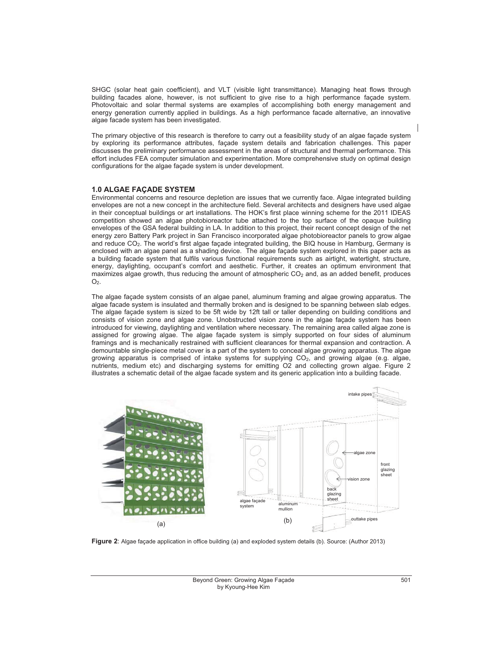SHGC (solar heat gain coefficient), and VLT (visible light transmittance). Managing heat flows through building facades alone, however, is not sufficient to give rise to a high performance façade system. Photovoltaic and solar thermal systems are examples of accomplishing both energy management and energy generation currently applied in buildings. As a high performance facade alternative, an innovative algae facade system has been investigated.

The primary objective of this research is therefore to carry out a feasibility study of an algae façade system by exploring its performance attributes, façade system details and fabrication challenges. This paper discusses the preliminary performance assessment in the areas of structural and thermal performance. This effort includes FEA computer simulation and experimentation. More comprehensive study on optimal design configurations for the algae façade system is under development.

#### **1.0 ALGAE FAÇADE SYSTEM**

Environmental concerns and resource depletion are issues that we currently face. Algae integrated building envelopes are not a new concept in the architecture field. Several architects and designers have used algae in their conceptual buildings or art installations. The HOK's first place winning scheme for the 2011 IDEAS competition showed an algae photobioreactor tube attached to the top surface of the opaque building envelopes of the GSA federal building in LA. In addition to this project, their recent concept design of the net energy zero Battery Park project in San Francisco incorporated algae photobioreactor panels to grow algae and reduce CO2. The world's first algae façade integrated building, the BIQ house in Hamburg, Germany is enclosed with an algae panel as a shading device. The algae façade system explored in this paper acts as a building facade system that fulfils various functional requirements such as airtight, watertight, structure, energy, daylighting, occupant's comfort and aesthetic. Further, it creates an optimum environment that maximizes algae growth, thus reducing the amount of atmospheric  $CO<sub>2</sub>$  and, as an added benefit, produces  $O<sub>2</sub>$ .

The algae façade system consists of an algae panel, aluminum framing and algae growing apparatus. The algae facade system is insulated and thermally broken and is designed to be spanning between slab edges. The algae façade system is sized to be 5ft wide by 12ft tall or taller depending on building conditions and consists of vision zone and algae zone. Unobstructed vision zone in the algae façade system has been introduced for viewing, daylighting and ventilation where necessary. The remaining area called algae zone is assigned for growing algae. The algae façade system is simply supported on four sides of aluminum framings and is mechanically restrained with sufficient clearances for thermal expansion and contraction. A demountable single-piece metal cover is a part of the system to conceal algae growing apparatus. The algae growing apparatus is comprised of intake systems for supplying CO2, and growing algae (e.g. algae, nutrients, medium etc) and discharging systems for emitting O2 and collecting grown algae. Figure 2 illustrates a schematic detail of the algae facade system and its generic application into a building facade.



**Figure 2**: Algae façade application in office building (a) and exploded system details (b). Source: (Author 2013)

 501 Beyond Green: Growing Algae Façade by Kyoung-Hee Kim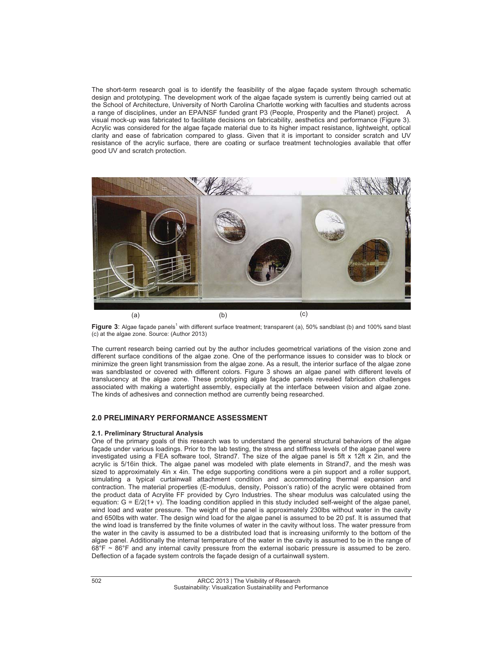The short-term research goal is to identify the feasibility of the algae façade system through schematic design and prototyping. The development work of the algae façade system is currently being carried out at the School of Architecture, University of North Carolina Charlotte working with faculties and students across a range of disciplines, under an EPA/NSF funded grant P3 (People, Prosperity and the Planet) project. A visual mock-up was fabricated to facilitate decisions on fabricability, aesthetics and performance (Figure 3). Acrylic was considered for the algae façade material due to its higher impact resistance, lightweight, optical clarity and ease of fabrication compared to glass. Given that it is important to consider scratch and UV resistance of the acrylic surface, there are coating or surface treatment technologies available that offer good UV and scratch protection.



Figure 3: Algae façade panels<sup>1</sup> with different surface treatment; transparent (a), 50% sandblast (b) and 100% sand blast (c) at the algae zone. Source: (Author 2013)

The current research being carried out by the author includes geometrical variations of the vision zone and different surface conditions of the algae zone. One of the performance issues to consider was to block or minimize the green light transmission from the algae zone. As a result, the interior surface of the algae zone was sandblasted or covered with different colors. Figure 3 shows an algae panel with different levels of translucency at the algae zone. These prototyping algae façade panels revealed fabrication challenges associated with making a watertight assembly, especially at the interface between vision and algae zone. The kinds of adhesives and connection method are currently being researched.

# **2.0 PRELIMINARY PERFORMANCE ASSESSMENT**

#### **2.1. Preliminary Structural Analysis**

One of the primary goals of this research was to understand the general structural behaviors of the algae façade under various loadings. Prior to the lab testing, the stress and stiffness levels of the algae panel were investigated using a FEA software tool, Strand7. The size of the algae panel is 5ft x 12ft x 2in, and the acrylic is 5/16in thick. The algae panel was modeled with plate elements in Strand7, and the mesh was sized to approximately 4in x 4in. The edge supporting conditions were a pin support and a roller support, simulating a typical curtainwall attachment condition and accommodating thermal expansion and contraction. The material properties (E-modulus, density, Poisson's ratio) of the acrylic were obtained from the product data of Acrylite FF provided by Cyro Industries. The shear modulus was calculated using the equation: G = E/2(1+ ). The loading condition applied in this study included self-weight of the algae panel, wind load and water pressure. The weight of the panel is approximately 230lbs without water in the cavity and 650lbs with water. The design wind load for the algae panel is assumed to be 20 psf. It is assumed that the wind load is transferred by the finite volumes of water in the cavity without loss. The water pressure from the water in the cavity is assumed to be a distributed load that is increasing uniformly to the bottom of the algae panel. Additionally the internal temperature of the water in the cavity is assumed to be in the range of 68°F ~ 86°F and any internal cavity pressure from the external isobaric pressure is assumed to be zero. Deflection of a façade system controls the façade design of a curtainwall system.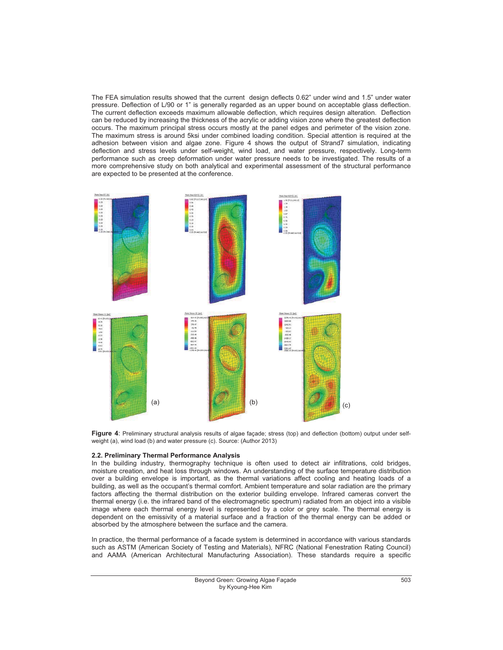The FEA simulation results showed that the current design deflects 0.62" under wind and 1.5" under water pressure. Deflection of L/90 or 1" is generally regarded as an upper bound on acceptable glass deflection. The current deflection exceeds maximum allowable deflection, which requires design alteration. Deflection can be reduced by increasing the thickness of the acrylic or adding vision zone where the greatest deflection occurs. The maximum principal stress occurs mostly at the panel edges and perimeter of the vision zone. The maximum stress is around 5ksi under combined loading condition. Special attention is required at the adhesion between vision and algae zone. Figure 4 shows the output of Strand7 simulation, indicating deflection and stress levels under self-weight, wind load, and water pressure, respectively. Long-term performance such as creep deformation under water pressure needs to be investigated. The results of a more comprehensive study on both analytical and experimental assessment of the structural performance are expected to be presented at the conference.



**Figure 4**: Preliminary structural analysis results of algae façade; stress (top) and deflection (bottom) output under selfweight (a), wind load (b) and water pressure (c). Source: (Author 2013)

#### **2.2. Preliminary Thermal Performance Analysis**

In the building industry, thermography technique is often used to detect air infiltrations, cold bridges, moisture creation, and heat loss through windows. An understanding of the surface temperature distribution over a building envelope is important, as the thermal variations affect cooling and heating loads of a building, as well as the occupant's thermal comfort. Ambient temperature and solar radiation are the primary factors affecting the thermal distribution on the exterior building envelope. Infrared cameras convert the thermal energy (i.e. the infrared band of the electromagnetic spectrum) radiated from an object into a visible image where each thermal energy level is represented by a color or grey scale. The thermal energy is dependent on the emissivity of a material surface and a fraction of the thermal energy can be added or absorbed by the atmosphere between the surface and the camera.

In practice, the thermal performance of a facade system is determined in accordance with various standards such as ASTM (American Society of Testing and Materials), NFRC (National Fenestration Rating Council) and AAMA (American Architectural Manufacturing Association). These standards require a specific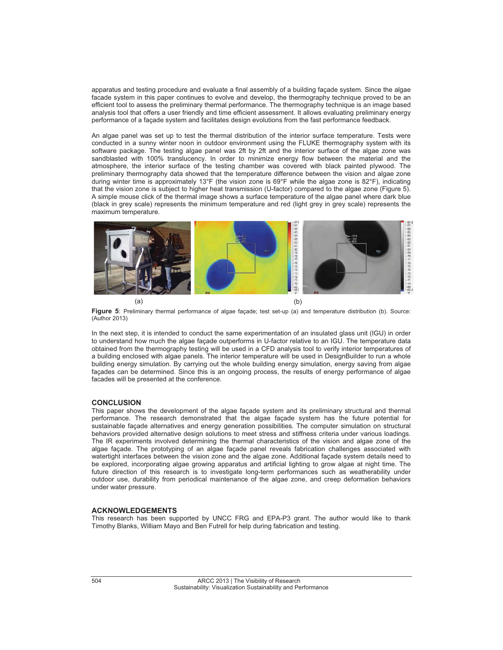apparatus and testing procedure and evaluate a final assembly of a building façade system. Since the algae facade system in this paper continues to evolve and develop, the thermography technique proved to be an efficient tool to assess the preliminary thermal performance. The thermography technique is an image based analysis tool that offers a user friendly and time efficient assessment. It allows evaluating preliminary energy performance of a façade system and facilitates design evolutions from the fast performance feedback.

An algae panel was set up to test the thermal distribution of the interior surface temperature. Tests were conducted in a sunny winter noon in outdoor environment using the FLUKE thermography system with its software package. The testing algae panel was 2ft by 2ft and the interior surface of the algae zone was sandblasted with 100% translucency. In order to minimize energy flow between the material and the atmosphere, the interior surface of the testing chamber was covered with black painted plywood. The preliminary thermography data showed that the temperature difference between the vision and algae zone during winter time is approximately 13°F (the vision zone is 69°F while the algae zone is 82°F), indicating that the vision zone is subject to higher heat transmission (U-factor) compared to the algae zone (Figure 5). A simple mouse click of the thermal image shows a surface temperature of the algae panel where dark blue (black in grey scale) represents the minimum temperature and red (light grey in grey scale) represents the maximum temperature.



**Figure 5**: Preliminary thermal performance of algae façade; test set-up (a) and temperature distribution (b). Source: (Author 2013)

In the next step, it is intended to conduct the same experimentation of an insulated glass unit (IGU) in order to understand how much the algae façade outperforms in U-factor relative to an IGU. The temperature data obtained from the thermography testing will be used in a CFD analysis tool to verify interior temperatures of a building enclosed with algae panels. The interior temperature will be used in DesignBuilder to run a whole building energy simulation. By carrying out the whole building energy simulation, energy saving from algae façades can be determined. Since this is an ongoing process, the results of energy performance of algae facades will be presented at the conference.

#### **CONCLUSION**

This paper shows the development of the algae façade system and its preliminary structural and thermal performance. The research demonstrated that the algae façade system has the future potential for sustainable façade alternatives and energy generation possibilities. The computer simulation on structural behaviors provided alternative design solutions to meet stress and stiffness criteria under various loadings. The IR experiments involved determining the thermal characteristics of the vision and algae zone of the algae façade. The prototyping of an algae façade panel reveals fabrication challenges associated with watertight interfaces between the vision zone and the algae zone. Additional façade system details need to be explored, incorporating algae growing apparatus and artificial lighting to grow algae at night time. The future direction of this research is to investigate long-term performances such as weatherability under outdoor use, durability from periodical maintenance of the algae zone, and creep deformation behaviors under water pressure.

#### **ACKNOWLEDGEMENTS**

This research has been supported by UNCC FRG and EPA-P3 grant. The author would like to thank Timothy Blanks, William Mayo and Ben Futrell for help during fabrication and testing.